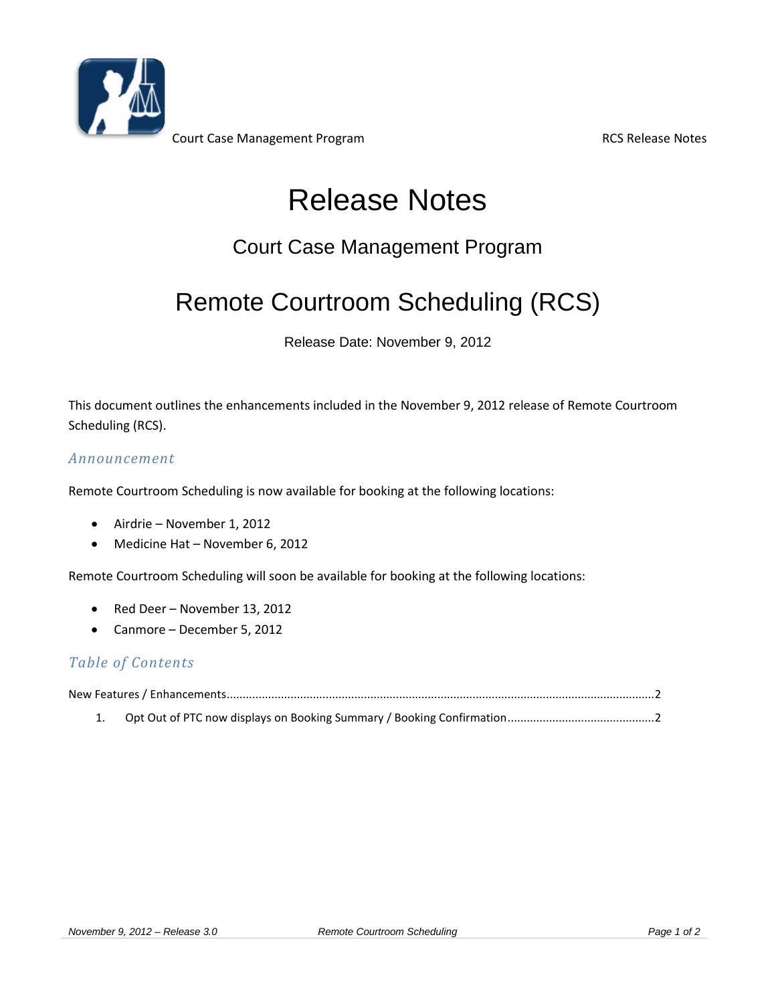

Court Case Management Program **RCS Release Notes** RCS Release Notes

# Release Notes

### Court Case Management Program

## Remote Courtroom Scheduling (RCS)

Release Date: November 9, 2012

This document outlines the enhancements included in the November 9, 2012 release of Remote Courtroom Scheduling (RCS).

#### *Announcement*

Remote Courtroom Scheduling is now available for booking at the following locations:

- Airdrie November 1, 2012
- Medicine Hat November 6, 2012

Remote Courtroom Scheduling will soon be available for booking at the following locations:

- Red Deer November 13, 2012
- Canmore December 5, 2012

### *Table of Contents*